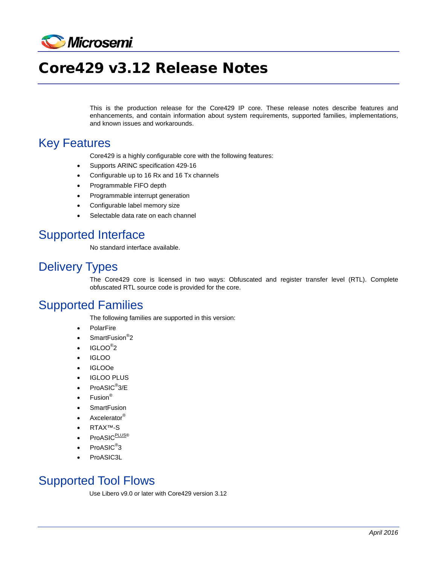

# Core429 v3.12 Release Notes

This is the production release for the Core429 IP core. These release notes describe features and enhancements, and contain information about system requirements, supported families, implementations, and known issues and workarounds.

#### Key Features

Core429 is a highly configurable core with the following features:

- Supports ARINC specification 429-16
- Configurable up to 16 Rx and 16 Tx channels
- Programmable FIFO depth
- Programmable interrupt generation
- Configurable label memory size
- Selectable data rate on each channel

## Supported Interface

No standard interface available.

## Delivery Types

The Core429 core is licensed in two ways: Obfuscated and register transfer level (RTL). Complete obfuscated RTL source code is provided for the core.

## Supported Families

The following families are supported in this version:

- PolarFire
- SmartFusion<sup>®</sup>2
- $\bullet$  IGLOO $^\circ$ 2
- IGLOO
- IGLOOe
- IGLOO PLUS
- ProASIC<sup>®</sup>3/E
- Fusion<sup>®</sup>
- **SmartFusion**
- Axcelerator<sup>®</sup>
- RTAX™-S
- ProASIC<sup>PLUS®</sup>
- ProASIC<sup>®</sup>3
- ProASIC3L

## Supported Tool Flows

Use Libero v9.0 or later with Core429 version 3.12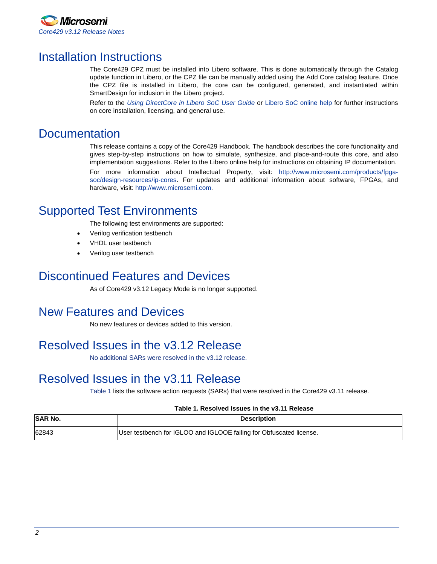

## Installation Instructions

The Core429 CPZ must be installed into Libero software. This is done automatically through the Catalog update function in Libero, or the CPZ file can be manually added using the Add Core catalog feature. Once the CPZ file is installed in Libero, the core can be configured, generated, and instantiated within SmartDesign for inclusion in the Libero project.

Refer to the *[Using DirectCore in Libero SoC User Guide](http://www.microsemi.com/soc/documents/directcore_in_libero_tutorial_ug.pdf)* or [Libero SoC online help](http://www.microsemi.com/index.php?option=com_docman&task=doc_download&gid=132044) for further instructions on core installation, licensing, and general use.

### **Documentation**

This release contains a copy of the Core429 Handbook. The handbook describes the core functionality and gives step-by-step instructions on how to simulate, synthesize, and place-and-route this core, and also implementation suggestions. Refer to the Libero online help for instructions on obtaining IP documentation.

For more information about Intellectual Property, visit: [http://www.microsemi.com/products/fpga](http://www.microsemi.com/products/fpga-soc/design-resources/ip-cores)[soc/design-resources/ip-cores.](http://www.microsemi.com/products/fpga-soc/design-resources/ip-cores) For updates and additional information about software, FPGAs, and hardware, visit: [http://www.microsemi.com.](http://www.microsemi.com/)

### Supported Test Environments

The following test environments are supported:

- Verilog verification testbench
- VHDL user testbench
- Verilog user testbench

### Discontinued Features and Devices

As of Core429 v3.12 Legacy Mode is no longer supported.

#### New Features and Devices

No new features or devices added to this version.

## Resolved Issues in the v3.12 Release

No additional SARs were resolved in the v3.12 release.

## Resolved Issues in the v3.11 Release

[Table 1](#page-1-0) lists the software action requests (SARs) that were resolved in the Core429 v3.11 release.

#### **Table 1. Resolved Issues in the v3.11 Release**

<span id="page-1-0"></span>

| <b>SAR No.</b> | <b>Description</b>                                                  |
|----------------|---------------------------------------------------------------------|
| 62843          | User testbench for IGLOO and IGLOOE failing for Obfuscated license. |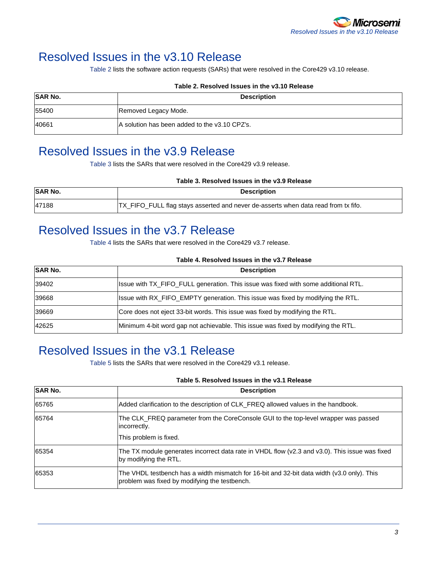## Resolved Issues in the v3.10 Release

[Table 2](#page-2-0) lists the software action requests (SARs) that were resolved in the Core429 v3.10 release.

<span id="page-2-0"></span>

|                | TAMIC LI INGSUTVOU ISSUGS III LIIG VUITU INGIGASG |
|----------------|---------------------------------------------------|
| <b>SAR No.</b> | <b>Description</b>                                |
| 55400          | Removed Legacy Mode.                              |
| 40661          | A solution has been added to the v3.10 CPZ's.     |

#### **Table 2. Resolved Issues in the v3.10 Release**

## Resolved Issues in the v3.9 Release

[Table 3](#page-2-1) lists the SARs that were resolved in the Core429 v3.9 release.

<span id="page-2-1"></span>

|         | Table 3. Resolved Issues in the v3.9 Release                                       |  |
|---------|------------------------------------------------------------------------------------|--|
| SAR No. | <b>Description</b>                                                                 |  |
| 47188   | TX_FIFO_FULL flag stays asserted and never de-asserts when data read from tx fifo. |  |

## Resolved Issues in the v3.7 Release

[Table 4](#page-2-2) lists the SARs that were resolved in the Core429 v3.7 release.

| Table 4. Resolved Issues in the v3.7 Release |  |
|----------------------------------------------|--|
|----------------------------------------------|--|

<span id="page-2-2"></span>

| <b>SAR No.</b> | <b>Description</b>                                                                 |
|----------------|------------------------------------------------------------------------------------|
| 39402          | Issue with TX_FIFO_FULL generation. This issue was fixed with some additional RTL. |
| 39668          | Issue with RX_FIFO_EMPTY generation. This issue was fixed by modifying the RTL.    |
| 39669          | Core does not eject 33-bit words. This issue was fixed by modifying the RTL.       |
| 42625          | Minimum 4-bit word gap not achievable. This issue was fixed by modifying the RTL.  |

## Resolved Issues in the v3.1 Release

[Table 5](#page-2-3) lists the SARs that were resolved in the Core429 v3.1 release.

#### **Table 5. Resolved Issues in the v3.1 Release**

<span id="page-2-3"></span>

| <b>SAR No.</b> | <b>Description</b>                                                                                                                          |
|----------------|---------------------------------------------------------------------------------------------------------------------------------------------|
| 65765          | Added clarification to the description of CLK_FREQ allowed values in the handbook.                                                          |
| 65764          | The CLK_FREQ parameter from the CoreConsole GUI to the top-level wrapper was passed<br>incorrectly.<br>This problem is fixed.               |
| 65354          | The TX module generates incorrect data rate in VHDL flow (v2.3 and v3.0). This issue was fixed<br>by modifying the RTL.                     |
| 65353          | The VHDL testbench has a width mismatch for 16-bit and 32-bit data width (v3.0 only). This<br>problem was fixed by modifying the testbench. |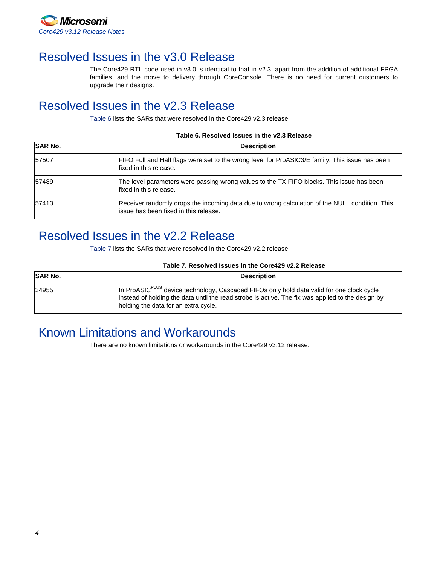

## Resolved Issues in the v3.0 Release

The Core429 RTL code used in v3.0 is identical to that in v2.3, apart from the addition of additional FPGA families, and the move to delivery through CoreConsole. There is no need for current customers to upgrade their designs.

## Resolved Issues in the v2.3 Release

[Table 6](#page-3-0) lists the SARs that were resolved in the Core429 v2.3 release.

#### **Table 6. Resolved Issues in the v2.3 Release**

<span id="page-3-0"></span>

| <b>SAR No.</b> | <b>Description</b>                                                                                                                       |
|----------------|------------------------------------------------------------------------------------------------------------------------------------------|
| 57507          | FIFO Full and Half flags were set to the wrong level for ProASIC3/E family. This issue has been<br>fixed in this release.                |
| 57489          | The level parameters were passing wrong values to the TX FIFO blocks. This issue has been<br>Ifixed in this release.                     |
| 57413          | Receiver randomly drops the incoming data due to wrong calculation of the NULL condition. This<br>lissue has been fixed in this release. |

#### Resolved Issues in the v2.2 Release

[Table 7](#page-3-1) lists the SARs that were resolved in the Core429 v2.2 release.

#### **Table 7. Resolved Issues in the Core429 v2.2 Release**

<span id="page-3-1"></span>

| <b>SAR No.</b> | <b>Description</b>                                                                                                                                                                                                                                  |
|----------------|-----------------------------------------------------------------------------------------------------------------------------------------------------------------------------------------------------------------------------------------------------|
| 34955          | In ProASIC <sup>PLUS</sup> device technology, Cascaded FIFOs only hold data valid for one clock cycle<br>linstead of holding the data until the read strobe is active. The fix was applied to the design by<br>holding the data for an extra cycle. |

## Known Limitations and Workarounds

There are no known limitations or workarounds in the Core429 v3.12 release.